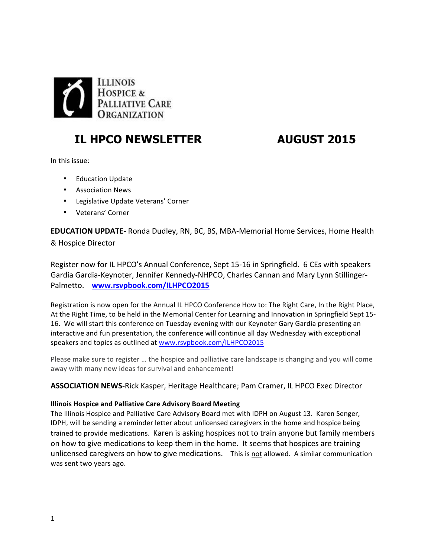

# **IL HPCO NEWSLETTER AUGUST 2015**

In this issue:

- Education Update
- Association News
- Legislative Update Veterans' Corner
- Veterans' Corner

**EDUCATION UPDATE-** Ronda Dudley, RN, BC, BS, MBA-Memorial Home Services, Home Health & Hospice Director

Register now for IL HPCO's Annual Conference, Sept 15-16 in Springfield. 6 CEs with speakers Gardia Gardia-Keynoter, Jennifer Kennedy-NHPCO, Charles Cannan and Mary Lynn Stillinger-Palmetto. www.rsvpbook.com/ILHPCO2015

Registration is now open for the Annual IL HPCO Conference How to: The Right Care, In the Right Place, At the Right Time, to be held in the Memorial Center for Learning and Innovation in Springfield Sept 15-16. We will start this conference on Tuesday evening with our Keynoter Gary Gardia presenting an interactive and fun presentation, the conference will continue all day Wednesday with exceptional speakers and topics as outlined at www.rsvpbook.com/ILHPCO2015

Please make sure to register ... the hospice and palliative care landscape is changing and you will come away with many new ideas for survival and enhancement!

# ASSOCIATION NEWS-Rick Kasper, Heritage Healthcare; Pam Cramer, IL HPCO Exec Director

#### **Illinois Hospice and Palliative Care Advisory Board Meeting**

The Illinois Hospice and Palliative Care Advisory Board met with IDPH on August 13. Karen Senger, IDPH, will be sending a reminder letter about unlicensed caregivers in the home and hospice being trained to provide medications. Karen is asking hospices not to train anyone but family members on how to give medications to keep them in the home. It seems that hospices are training unlicensed caregivers on how to give medications. This is not allowed. A similar communication was sent two years ago.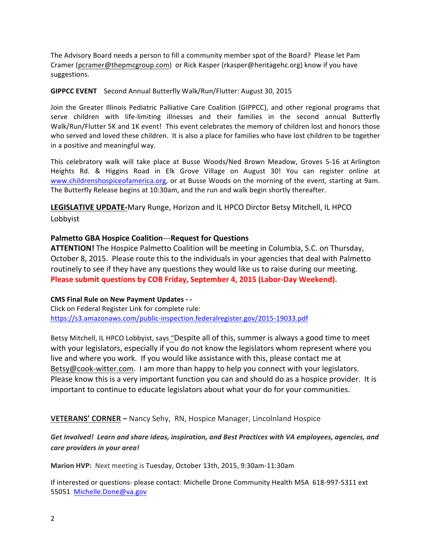The Advisory Board needs a person to fill a community member spot of the Board? Please let Pam Cramer (pcramer@thepmcgroup.com) or Rick Kasper (rkasper@heritagehc.org) know if you have suggestions.

#### **GIPPCC EVENT** Second Annual Butterfly Walk/Run/Flutter: August 30, 2015

Join the Greater Illinois Pediatric Palliative Care Coalition (GIPPCC), and other regional programs that serve children with life-limiting illnesses and their families in the second annual Butterfly Walk/Run/Flutter 5K and 1K event! This event celebrates the memory of children lost and honors those who served and loved these children. It is also a place for families who have lost children to be together in a positive and meaningful way.

This celebratory walk will take place at Busse Woods/Ned Brown Meadow, Groves 5-16 at Arlington Heights Rd. & Higgins Road in Elk Grove Village on August 30! You can register online at www.childrenshospiceofamerica.org, or at Busse Woods on the morning of the event, starting at 9am. The Butterfly Release begins at 10:30am, and the run and walk begin shortly thereafter.

LEGISLATIVE UPDATE-Mary Runge, Horizon and IL HPCO Dirctor Betsy Mitchell, IL HPCO Lobbyist

### **Palmetto GBA Hospice Coalition---Request for Questions**

**ATTENTION!** The Hospice Palmetto Coalition will be meeting in Columbia, S.C. on Thursday, October 8, 2015. Please route this to the individuals in your agencies that deal with Palmetto routinely to see if they have any questions they would like us to raise during our meeting. **Please submit questions by COB Friday, September 4, 2015 (Labor-Day Weekend).** 

#### **CMS Final Rule on New Payment Updates - -**

Click on Federal Register Link for complete rule: https://s3.amazonaws.com/public-inspection.federalregister.gov/2015-19033.pdf

Betsy Mitchell, IL HPCO Lobbyist, says "Despite all of this, summer is always a good time to meet with your legislators, especially if you do not know the legislators whom represent where you live and where you work. If you would like assistance with this, please contact me at Betsy@cook-witter.com. I am more than happy to help you connect with your legislators. Please know this is a very important function you can and should do as a hospice provider. It is important to continue to educate legislators about what your do for your communities.

#### **VETERANS' CORNER** - Nancy Sehy, RN, Hospice Manager, Lincolnland Hospice

## Get Involved! Learn and share ideas, inspiration, and Best Practices with VA employees, agencies, and *care providers in your area!*

**Marion HVP:** Next meeting is Tuesday, October 13th, 2015, 9:30am-11:30am

If interested or questions- please contact: Michelle Drone Community Health MSA 618-997-5311 ext 55051 Michelle.Done@va.gov